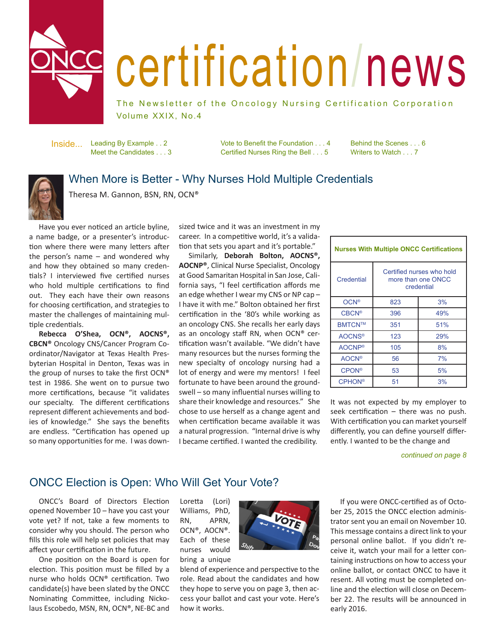

Į

# certification/news

The Newsletter of the Oncology Nursing Certification Corporation Volume XXIX, No.4

Leading By Example . . 2 Meet the Candidates . . . 3 Inside...

Vote to Benefit the Foundation . . . 4 Certified Nurses Ring the Bell . . . 5

Behind the Scenes . . . 6 Writers to Watch . . . 7

# When More is Better - Why Nurses Hold Multiple Credentials

Theresa M. Gannon, BSN, RN, OCN®

Have you ever noticed an article byline, a name badge, or a presenter's introduction where there were many letters after the person's name – and wondered why and how they obtained so many credentials? I interviewed five certified nurses who hold multiple certifications to find out. They each have their own reasons for choosing certification, and strategies to master the challenges of maintaining multiple credentials.

**Rebecca O'Shea, OCN®, AOCNS®, CBCN®** Oncology CNS/Cancer Program Coordinator/Navigator at Texas Health Presbyterian Hospital in Denton, Texas was in the group of nurses to take the first OCN® test in 1986. She went on to pursue two more certifications, because "it validates our specialty. The different certifications represent different achievements and bodies of knowledge." She says the benefits are endless. "Certification has opened up so many opportunities for me. I was downsized twice and it was an investment in my career. In a competitive world, it's a validation that sets you apart and it's portable."

Similarly, **Deborah Bolton, AOCNS®, AOCNP®**, Clinical Nurse Specialist, Oncology at Good Samaritan Hospital in San Jose, California says, "I feel certification affords me an edge whether I wear my CNS or NP cap – I have it with me." Bolton obtained her first certification in the '80's while working as an oncology CNS. She recalls her early days as an oncology staff RN, when OCN® certification wasn't available. "We didn't have many resources but the nurses forming the new specialty of oncology nursing had a lot of energy and were my mentors! I feel fortunate to have been around the groundswell – so many influential nurses willing to share their knowledge and resources." She chose to use herself as a change agent and when certification became available it was a natural progression. "Internal drive is why I became certified. I wanted the credibility.

| <b>Nurses With Multiple ONCC Certifications</b> |                                                               |     |
|-------------------------------------------------|---------------------------------------------------------------|-----|
| Credential                                      | Certified nurses who hold<br>more than one ONCC<br>credential |     |
| $OCN^{\circ}$                                   | 823                                                           | 3%  |
| <b>CBCN®</b>                                    | 396                                                           | 49% |
| BMTCN™                                          | 351                                                           | 51% |
| <b>AOCNS®</b>                                   | 123                                                           | 29% |
| <b>AOCNP®</b>                                   | 105                                                           | 8%  |
| <b>AOCN®</b>                                    | 56                                                            | 7%  |
| <b>CPON®</b>                                    | 53                                                            | 5%  |
| <b>CPHON®</b>                                   | 51                                                            | 3%  |

It was not expected by my employer to seek certification – there was no push. With certification you can market yourself differently, you can define yourself differently. I wanted to be the change and

*continued on page 8*

# ONCC Election is Open: Who Will Get Your Vote?

ONCC's Board of Directors Election opened November 10 – have you cast your vote yet? If not, take a few moments to consider why you should. The person who fills this role will help set policies that may affect your certification in the future.

One position on the Board is open for election. This position must be filled by a nurse who holds OCN® certification. Two candidate(s) have been slated by the ONCC Nominating Committee, including Nickolaus Escobedo, MSN, RN, OCN®, NE-BC and Loretta (Lori) Williams, PhD, RN, APRN, OCN®, AOCN®. Each of these nurses would bring a unique



blend of experience and perspective to the role. Read about the candidates and how they hope to serve you on page 3, then access your ballot and cast your vote. Here's how it works.

If you were ONCC-certified as of October 25, 2015 the ONCC election administrator sent you an email on November 10. This message contains a direct link to your personal online ballot. If you didn't receive it, watch your mail for a letter containing instructions on how to access your online ballot, or contact ONCC to have it resent. All voting must be completed online and the election will close on December 22. The results will be announced in early 2016.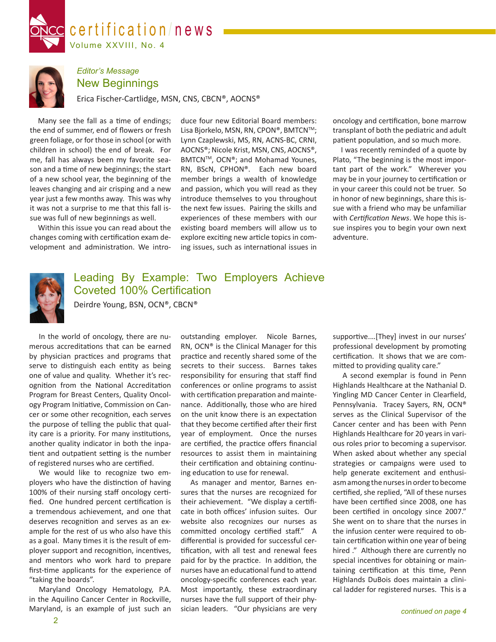



## *Editor's Message* New Beginnings

Erica Fischer-Cartlidge, MSN, CNS, CBCN®, AOCNS®

Many see the fall as a time of endings; the end of summer, end of flowers or fresh green foliage, or for those in school (or with children in school) the end of break. For me, fall has always been my favorite season and a time of new beginnings; the start of a new school year, the beginning of the leaves changing and air crisping and a new year just a few months away. This was why it was not a surprise to me that this fall issue was full of new beginnings as well.

Within this issue you can read about the changes coming with certification exam development and administration. We introduce four new Editorial Board members: Lisa Bjorkelo, MSN, RN, CPON®, BMTCN™; Lynn Czaplewski, MS, RN, ACNS-BC, CRNI, AOCNS®; Nicole Krist, MSN, CNS, AOCNS®, BMTCN™, OCN®; and Mohamad Younes, RN, BScN, CPHON®. Each new board member brings a wealth of knowledge and passion, which you will read as they introduce themselves to you throughout the next few issues. Pairing the skills and experiences of these members with our existing board members will allow us to explore exciting new article topics in coming issues, such as international issues in oncology and certification, bone marrow transplant of both the pediatric and adult patient population, and so much more.

I was recently reminded of a quote by Plato, "The beginning is the most important part of the work." Wherever you may be in your journey to certification or in your career this could not be truer. So in honor of new beginnings, share this issue with a friend who may be unfamiliar with *Certification News*. We hope this issue inspires you to begin your own next adventure.



# Leading By Example: Two Employers Achieve Coveted 100% Certification

Deirdre Young, BSN, OCN®, CBCN®

In the world of oncology, there are numerous accreditations that can be earned by physician practices and programs that serve to distinguish each entity as being one of value and quality. Whether it's recognition from the National Accreditation Program for Breast Centers, Quality Oncology Program Initiative, Commission on Cancer or some other recognition, each serves the purpose of telling the public that quality care is a priority. For many institutions, another quality indicator in both the inpatient and outpatient setting is the number of registered nurses who are certified.

We would like to recognize two employers who have the distinction of having 100% of their nursing staff oncology certified. One hundred percent certification is a tremendous achievement, and one that deserves recognition and serves as an example for the rest of us who also have this as a goal. Many times it is the result of employer support and recognition, incentives, and mentors who work hard to prepare first-time applicants for the experience of "taking the boards".

Maryland Oncology Hematology, P.A. in the Aquilino Cancer Center in Rockville, Maryland, is an example of just such an outstanding employer. Nicole Barnes, RN, OCN® is the Clinical Manager for this practice and recently shared some of the secrets to their success. Barnes takes responsibility for ensuring that staff find conferences or online programs to assist with certification preparation and maintenance. Additionally, those who are hired on the unit know there is an expectation that they become certified after their first year of employment. Once the nurses are certified, the practice offers financial resources to assist them in maintaining their certification and obtaining continuing education to use for renewal.

As manager and mentor, Barnes ensures that the nurses are recognized for their achievement. "We display a certificate in both offices' infusion suites. Our website also recognizes our nurses as committed oncology certified staff." A differential is provided for successful certification, with all test and renewal fees paid for by the practice. In addition, the nurses have an educational fund to attend oncology-specific conferences each year. Most importantly, these extraordinary nurses have the full support of their physician leaders. "Our physicians are very

supportive.…[They] invest in our nurses' professional development by promoting certification. It shows that we are committed to providing quality care."

A second exemplar is found in Penn Highlands Healthcare at the Nathanial D. Yingling MD Cancer Center in Clearfield, Pennsylvania. Tracey Sayers, RN, OCN® serves as the Clinical Supervisor of the Cancer center and has been with Penn Highlands Healthcare for 20 years in various roles prior to becoming a supervisor. When asked about whether any special strategies or campaigns were used to help generate excitement and enthusiasm among the nurses in order to become certified, she replied, "All of these nurses have been certified since 2008, one has been certified in oncology since 2007." She went on to share that the nurses in the infusion center were required to obtain certification within one year of being hired ." Although there are currently no special incentives for obtaining or maintaining certification at this time, Penn Highlands DuBois does maintain a clinical ladder for registered nurses. This is a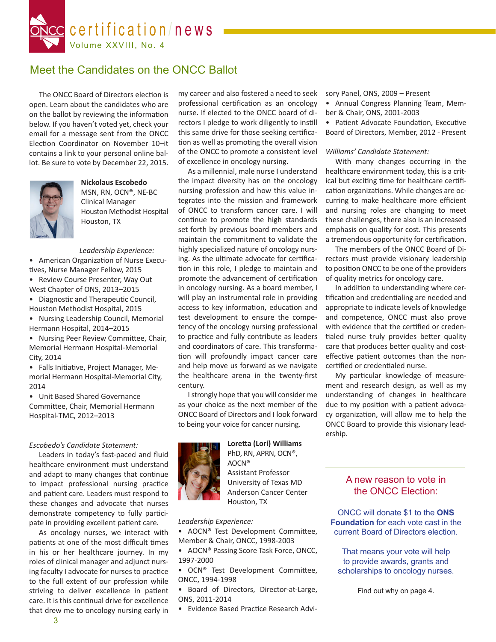

# Meet the Candidates on the ONCC Ballot

The ONCC Board of Directors election is open. Learn about the candidates who are on the ballot by reviewing the information below. If you haven't voted yet, check your email for a message sent from the ONCC Election Coordinator on November 10–it contains a link to your personal online ballot. Be sure to vote by December 22, 2015.



**Nickolaus Escobedo** MSN, RN, OCN®, NE-BC Clinical Manager Houston Methodist Hospital Houston, TX

#### *Leadership Experience:*

• American Organization of Nurse Executives, Nurse Manager Fellow, 2015

- Review Course Presenter, Way Out West Chapter of ONS, 2013–2015
- Diagnostic and Therapeutic Council, Houston Methodist Hospital, 2015
- Nursing Leadership Council, Memorial Hermann Hospital, 2014–2015

• Nursing Peer Review Committee, Chair, Memorial Hermann Hospital-Memorial City, 2014

• Falls Initiative, Project Manager, Memorial Hermann Hospital-Memorial City, 2014

• Unit Based Shared Governance Committee, Chair, Memorial Hermann Hospital-TMC, 2012–2013

#### *Escobedo's Candidate Statement:*

Leaders in today's fast-paced and fluid healthcare environment must understand and adapt to many changes that continue to impact professional nursing practice and patient care. Leaders must respond to these changes and advocate that nurses demonstrate competency to fully participate in providing excellent patient care.

As oncology nurses, we interact with patients at one of the most difficult times in his or her healthcare journey. In my roles of clinical manager and adjunct nursing faculty I advocate for nurses to practice to the full extent of our profession while striving to deliver excellence in patient care. It is this continual drive for excellence that drew me to oncology nursing early in

my career and also fostered a need to seek professional certification as an oncology nurse. If elected to the ONCC board of directors I pledge to work diligently to instill this same drive for those seeking certification as well as promoting the overall vision of the ONCC to promote a consistent level of excellence in oncology nursing.

As a millennial, male nurse I understand the impact diversity has on the oncology nursing profession and how this value integrates into the mission and framework of ONCC to transform cancer care. I will continue to promote the high standards set forth by previous board members and maintain the commitment to validate the highly specialized nature of oncology nursing. As the ultimate advocate for certification in this role, I pledge to maintain and promote the advancement of certification in oncology nursing. As a board member, I will play an instrumental role in providing access to key information, education and test development to ensure the competency of the oncology nursing professional to practice and fully contribute as leaders and coordinators of care. This transformation will profoundly impact cancer care and help move us forward as we navigate the healthcare arena in the twenty-first century.

I strongly hope that you will consider me as your choice as the next member of the ONCC Board of Directors and I look forward to being your voice for cancer nursing.

**Loretta (Lori) Williams** PhD, RN, APRN, OCN®, AOCN® Assistant Professor University of Texas MD

Anderson Cancer Center Houston, TX

*Leadership Experience:*

- AOCN® Test Development Committee, Member & Chair, ONCC, 1998-2003
- AOCN® Passing Score Task Force, ONCC, 1997-2000
- OCN® Test Development Committee, ONCC, 1994-1998

• Board of Directors, Director-at-Large, ONS, 2011-2014

• Evidence Based Practice Research Advi-

sory Panel, ONS, 2009 – Present

• Annual Congress Planning Team, Member & Chair, ONS, 2001-2003

• Patient Advocate Foundation, Executive Board of Directors, Member, 2012 - Present

#### *Williams' Candidate Statement:*

With many changes occurring in the healthcare environment today, this is a critical but exciting time for healthcare certification organizations. While changes are occurring to make healthcare more efficient and nursing roles are changing to meet these challenges, there also is an increased emphasis on quality for cost. This presents a tremendous opportunity for certification.

The members of the ONCC Board of Directors must provide visionary leadership to position ONCC to be one of the providers of quality metrics for oncology care.

In addition to understanding where certification and credentialing are needed and appropriate to indicate levels of knowledge and competence, ONCC must also prove with evidence that the certified or credentialed nurse truly provides better quality care that produces better quality and costeffective patient outcomes than the noncertified or credentialed nurse.

My particular knowledge of measurement and research design, as well as my understanding of changes in healthcare due to my position with a patient advocacy organization, will allow me to help the ONCC Board to provide this visionary leadership.

## A new reason to vote in the ONCC Election:

ONCC will donate \$1 to the **ONS Foundation** for each vote cast in the current Board of Directors election.

That means your vote will help to provide awards, grants and scholarships to oncology nurses.

Find out why on page 4.

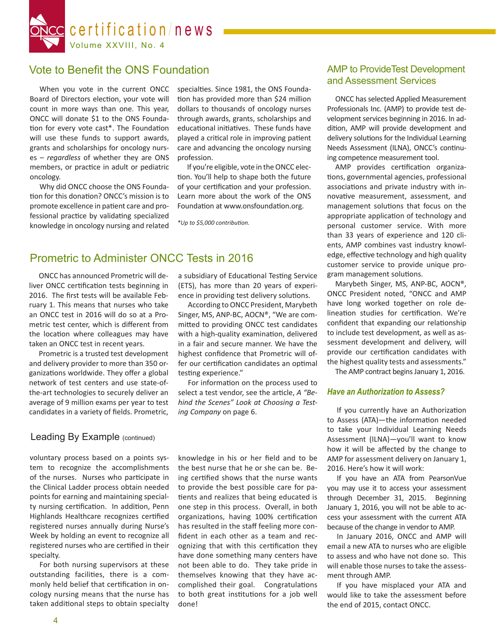

# Vote to Benefit the ONS Foundation

When you vote in the current ONCC Board of Directors election, your vote will count in more ways than one. This year, ONCC will donate \$1 to the ONS Foundation for every vote cast\*. The Foundation will use these funds to support awards, grants and scholarships for oncology nurses – *regardless* of whether they are ONS members, or practice in adult or pediatric oncology.

Why did ONCC choose the ONS Foundation for this donation? ONCC's mission is to promote excellence in patient care and professional practice by validating specialized knowledge in oncology nursing and related specialties. Since 1981, the ONS Foundation has provided more than \$24 million dollars to thousands of oncology nurses through awards, grants, scholarships and educational initiatives. These funds have played a critical role in improving patient care and advancing the oncology nursing profession.

If you're eligible, vote in the ONCC election. You'll help to shape both the future of your certification and your profession. Learn more about the work of the ONS Foundation at www.onsfoundation.org.

*\*Up to \$5,000 contribution.*

# Prometric to Administer ONCC Tests in 2016

ONCC has announced Prometric will deliver ONCC certification tests beginning in 2016. The first tests will be available February 1. This means that nurses who take an ONCC test in 2016 will do so at a Prometric test center, which is different from the location where colleagues may have taken an ONCC test in recent years.

Prometric is a trusted test development and delivery provider to more than 350 organizations worldwide. They offer a global network of test centers and use state-ofthe-art technologies to securely deliver an average of 9 million exams per year to test candidates in a variety of fields. Prometric,

## Leading By Example (continued)

voluntary process based on a points system to recognize the accomplishments of the nurses. Nurses who participate in the Clinical Ladder process obtain needed points for earning and maintaining specialty nursing certification. In addition, Penn Highlands Healthcare recognizes certified registered nurses annually during Nurse's Week by holding an event to recognize all registered nurses who are certified in their specialty.

For both nursing supervisors at these outstanding facilities, there is a commonly held belief that certification in oncology nursing means that the nurse has taken additional steps to obtain specialty a subsidiary of Educational Testing Service (ETS), has more than 20 years of experience in providing test delivery solutions.

According to ONCC President, Marybeth Singer, MS, ANP-BC, AOCN®, "We are committed to providing ONCC test candidates with a high-quality examination, delivered in a fair and secure manner. We have the highest confidence that Prometric will offer our certification candidates an optimal testing experience."

For information on the process used to select a test vendor, see the article, *A "Behind the Scenes" Look at Choosing a Testing Company* on page 6.

knowledge in his or her field and to be the best nurse that he or she can be. Being certified shows that the nurse wants to provide the best possible care for patients and realizes that being educated is one step in this process. Overall, in both organizations, having 100% certification has resulted in the staff feeling more confident in each other as a team and recognizing that with this certification they have done something many centers have not been able to do. They take pride in themselves knowing that they have accomplished their goal. Congratulations to both great institutions for a job well done!

## AMP to ProvideTest Development and Assessment Services

ONCC has selected Applied Measurement Professionals Inc. (AMP) to provide test development services beginning in 2016. In addition, AMP will provide development and delivery solutions for the Individual Learning Needs Assessment (ILNA), ONCC's continuing competence measurement tool.

AMP provides certification organizations, governmental agencies, professional associations and private industry with innovative measurement, assessment, and management solutions that focus on the appropriate application of technology and personal customer service. With more than 33 years of experience and 120 clients, AMP combines vast industry knowledge, effective technology and high quality customer service to provide unique program management solutions.

Marybeth Singer, MS, ANP-BC, AOCN®, ONCC President noted, "ONCC and AMP have long worked together on role delineation studies for certification. We're confident that expanding our relationship to include test development, as well as assessment development and delivery, will provide our certification candidates with the highest quality tests and assessments."

The AMP contract begins January 1, 2016.

## *Have an Authorization to Assess?*

If you currently have an Authorization to Assess (ATA)—the information needed to take your Individual Learning Needs Assessment (ILNA)—you'll want to know how it will be affected by the change to AMP for assessment delivery on January 1, 2016. Here's how it will work:

If you have an ATA from PearsonVue you may use it to access your assessment through December 31, 2015. Beginning January 1, 2016, you will not be able to access your assessment with the current ATA because of the change in vendor to AMP.

In January 2016, ONCC and AMP will email a new ATA to nurses who are eligible to assess and who have not done so. This will enable those nurses to take the assessment through AMP.

If you have misplaced your ATA and would like to take the assessment before the end of 2015, contact ONCC.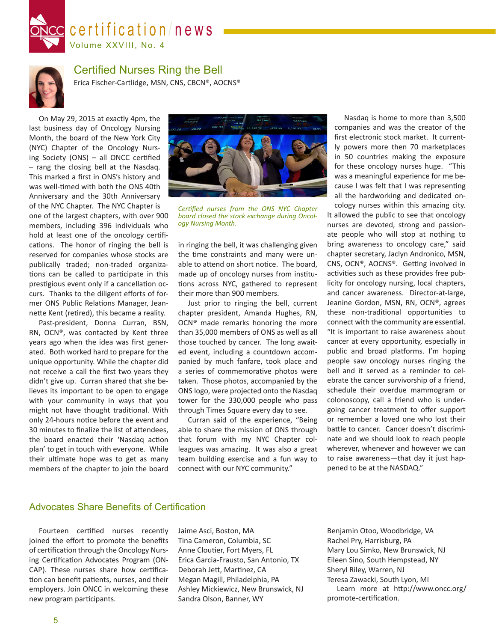



# Certified Nurses Ring the Bell

Erica Fischer-Cartlidge, MSN, CNS, CBCN®, AOCNS®

On May 29, 2015 at exactly 4pm, the last business day of Oncology Nursing Month, the board of the New York City (NYC) Chapter of the Oncology Nursing Society (ONS) – all ONCC certified – rang the closing bell at the Nasdaq. This marked a first in ONS's history and was well-timed with both the ONS 40th Anniversary and the 30th Anniversary of the NYC Chapter. The NYC Chapter is one of the largest chapters, with over 900 members, including 396 individuals who hold at least one of the oncology certifications. The honor of ringing the bell is reserved for companies whose stocks are publically traded; non-traded organizations can be called to participate in this prestigious event only if a cancellation occurs. Thanks to the diligent efforts of former ONS Public Relations Manager, Jeannette Kent (retired), this became a reality.

Past-president, Donna Curran, BSN, RN, OCN®, was contacted by Kent three years ago when the idea was first generated. Both worked hard to prepare for the unique opportunity. While the chapter did not receive a call the first two years they didn't give up. Curran shared that she believes its important to be open to engage with your community in ways that you might not have thought traditional. With only 24-hours notice before the event and 30 minutes to finalize the list of attendees, the board enacted their 'Nasdaq action plan' to get in touch with everyone. While their ultimate hope was to get as many members of the chapter to join the board



*Certified nurses from the ONS NYC Chapter board closed the stock exchange during Oncol- ogy Nursing Month.*

in ringing the bell, it was challenging given the time constraints and many were unable to attend on short notice. The board, made up of oncology nurses from institutions across NYC, gathered to represent their more than 900 members.

Just prior to ringing the bell, current chapter president, Amanda Hughes, RN, OCN® made remarks honoring the more than 35,000 members of ONS as well as all those touched by cancer. The long awaited event, including a countdown accompanied by much fanfare, took place and a series of commemorative photos were taken. Those photos, accompanied by the ONS logo, were projected onto the Nasdaq tower for the 330,000 people who pass through Times Square every day to see.

Curran said of the experience, "Being able to share the mission of ONS through that forum with my NYC Chapter colleagues was amazing. It was also a great team building exercise and a fun way to connect with our NYC community."

Nasdaq is home to more than 3,500 companies and was the creator of the first electronic stock market. It currently powers more then 70 marketplaces in 50 countries making the exposure for these oncology nurses huge. "This was a meaningful experience for me because I was felt that I was representing all the hardworking and dedicated oncology nurses within this amazing city.

It allowed the public to see that oncology nurses are devoted, strong and passionate people who will stop at nothing to bring awareness to oncology care," said chapter secretary, Jaclyn Andronico, MSN, CNS, OCN®, AOCNS®. Getting involved in activities such as these provides free publicity for oncology nursing, local chapters, and cancer awareness. Director-at-large, Jeanine Gordon, MSN, RN, OCN®, agrees these non-traditional opportunities to connect with the community are essential. "It is important to raise awareness about cancer at every opportunity, especially in public and broad platforms. I'm hoping people saw oncology nurses ringing the bell and it served as a reminder to celebrate the cancer survivorship of a friend, schedule their overdue mammogram or colonoscopy, call a friend who is undergoing cancer treatment to offer support or remember a loved one who lost their battle to cancer. Cancer doesn't discriminate and we should look to reach people wherever, whenever and however we can to raise awareness—that day it just happened to be at the NASDAQ."

## Advocates Share Benefits of Certification

Fourteen certified nurses recently joined the effort to promote the benefits of certification through the Oncology Nursing Certification Advocates Program (ON-CAP). These nurses share how certification can benefit patients, nurses, and their employers. Join ONCC in welcoming these new program participants.

Jaime Asci, Boston, MA Tina Cameron, Columbia, SC Anne Cloutier, Fort Myers, FL Erica Garcia-Frausto, San Antonio, TX Deborah Jett, Martinez, CA Megan Magill, Philadelphia, PA Ashley Mickiewicz, New Brunswick, NJ Sandra Olson, Banner, WY

Benjamin Otoo, Woodbridge, VA Rachel Pry, Harrisburg, PA Mary Lou Simko, New Brunswick, NJ Eileen Sino, South Hempstead, NY Sheryl Riley, Warren, NJ Teresa Zawacki, South Lyon, MI Learn more at http://www.oncc.org/ promote-certification.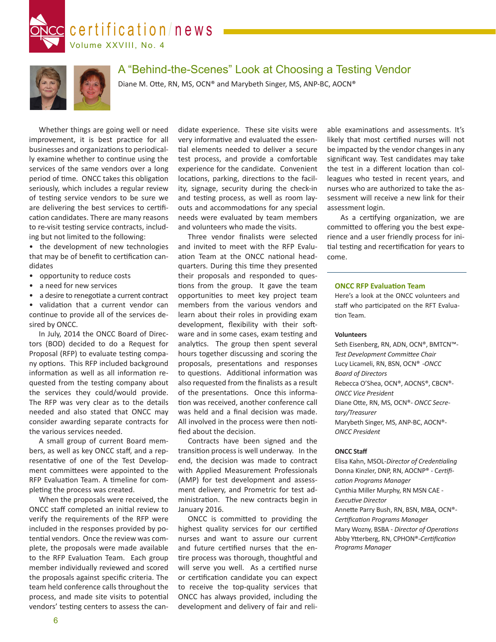



# A "Behind-the-Scenes" Look at Choosing a Testing Vendor

Diane M. Otte, RN, MS, OCN® and Marybeth Singer, MS, ANP-BC, AOCN®

Whether things are going well or need improvement, it is best practice for all businesses and organizations to periodically examine whether to continue using the services of the same vendors over a long period of time. ONCC takes this obligation seriously, which includes a regular review of testing service vendors to be sure we are delivering the best services to certification candidates. There are many reasons to re-visit testing service contracts, including but not limited to the following:

• the development of new technologies that may be of benefit to certification candidates

- opportunity to reduce costs
- a need for new services
- a desire to renegotiate a current contract

• validation that a current vendor can continue to provide all of the services desired by ONCC.

In July, 2014 the ONCC Board of Directors (BOD) decided to do a Request for Proposal (RFP) to evaluate testing company options. This RFP included background information as well as all information requested from the testing company about the services they could/would provide. The RFP was very clear as to the details needed and also stated that ONCC may consider awarding separate contracts for the various services needed.

A small group of current Board members, as well as key ONCC staff, and a representative of one of the Test Development committees were appointed to the RFP Evaluation Team. A timeline for completing the process was created.

When the proposals were received, the ONCC staff completed an initial review to verify the requirements of the RFP were included in the responses provided by potential vendors. Once the review was complete, the proposals were made available to the RFP Evaluation Team. Each group member individually reviewed and scored the proposals against specific criteria. The team held conference calls throughout the process, and made site visits to potential vendors' testing centers to assess the can-

didate experience. These site visits were very informative and evaluated the essential elements needed to deliver a secure test process, and provide a comfortable experience for the candidate. Convenient locations, parking, directions to the facility, signage, security during the check-in and testing process, as well as room layouts and accommodations for any special needs were evaluated by team members and volunteers who made the visits.

Three vendor finalists were selected and invited to meet with the RFP Evaluation Team at the ONCC national headquarters. During this time they presented their proposals and responded to questions from the group. It gave the team opportunities to meet key project team members from the various vendors and learn about their roles in providing exam development, flexibility with their software and in some cases, exam testing and analytics. The group then spent several hours together discussing and scoring the proposals, presentations and responses to questions. Additional information was also requested from the finalists as a result of the presentations. Once this information was received, another conference call was held and a final decision was made. All involved in the process were then notified about the decision.

Contracts have been signed and the transition process is well underway. In the end, the decision was made to contract with Applied Measurement Professionals (AMP) for test development and assessment delivery, and Prometric for test administration. The new contracts begin in January 2016.

ONCC is committed to providing the highest quality services for our certified nurses and want to assure our current and future certified nurses that the entire process was thorough, thoughtful and will serve you well. As a certified nurse or certification candidate you can expect to receive the top-quality services that ONCC has always provided, including the development and delivery of fair and reliable examinations and assessments. It's likely that most certified nurses will not be impacted by the vendor changes in any significant way. Test candidates may take the test in a different location than colleagues who tested in recent years, and nurses who are authorized to take the assessment will receive a new link for their assessment login.

 As a certifying organization, we are committed to offering you the best experience and a user friendly process for initial testing and recertification for years to come.

#### **ONCC RFP Evaluation Team**

Here's a look at the ONCC volunteers and staff who participated on the RFT Evaluation Team.

#### **Volunteers**

Seth Eisenberg, RN, ADN, OCN®, BMTCN™- *Test Development Committee Chair* Lucy Licameli, RN, BSN, OCN® -*ONCC Board of Directors* Rebecca O'Shea, OCN®, AOCNS®, CBCN®- *ONCC Vice President* Diane Otte, RN, MS, OCN®- *ONCC Secretary/Treasurer* Marybeth Singer, MS, ANP-BC, AOCN®- *ONCC President*

#### **ONCC Staff**

Elisa Kahn, MSOL-*Director of Credentialing* Donna Kinzler, DNP, RN, AOCNP® - C*ertification Programs Manager* Cynthia Miller Murphy, RN MSN CAE - *Executive Director* Annette Parry Bush, RN, BSN, MBA, OCN®- *Certification Programs Manager* Mary Wozny, BSBA - *Director of Operations* Abby Ytterberg, RN, CPHON®-*Certification Programs Manager*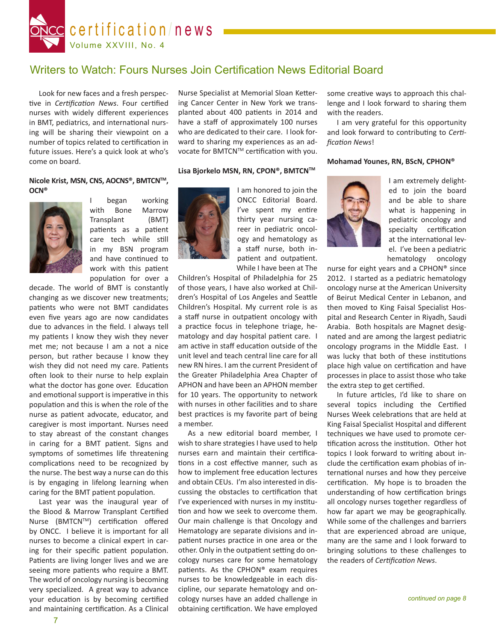

# Writers to Watch: Fours Nurses Join Certification News Editorial Board

Look for new faces and a fresh perspective in *Certification News*. Four certified nurses with widely different experiences in BMT, pediatrics, and international nursing will be sharing their viewpoint on a number of topics related to certification in future issues. Here's a quick look at who's come on board.

#### **Nicole Krist, MSN, CNS, AOCNS®, BMTCNTM, OCN®**



I began working with Bone Marrow Transplant (BMT) patients as a patient care tech while still in my BSN program and have continued to work with this patient population for over a

decade. The world of BMT is constantly changing as we discover new treatments; patients who were not BMT candidates even five years ago are now candidates due to advances in the field. I always tell my patients I know they wish they never met me; not because I am a not a nice person, but rather because I know they wish they did not need my care. Patients often look to their nurse to help explain what the doctor has gone over. Education and emotional support is imperative in this population and this is when the role of the nurse as patient advocate, educator, and caregiver is most important. Nurses need to stay abreast of the constant changes in caring for a BMT patient. Signs and symptoms of sometimes life threatening complications need to be recognized by the nurse. The best way a nurse can do this is by engaging in lifelong learning when caring for the BMT patient population.

Last year was the inaugural year of the Blood & Marrow Transplant Certified Nurse (BMTCN™) certification offered by ONCC. I believe it is important for all nurses to become a clinical expert in caring for their specific patient population. Patients are living longer lives and we are seeing more patients who require a BMT. The world of oncology nursing is becoming very specialized. A great way to advance your education is by becoming certified and maintaining certification. As a Clinical

Nurse Specialist at Memorial Sloan Kettering Cancer Center in New York we transplanted about 400 patients in 2014 and have a staff of approximately 100 nurses who are dedicated to their care. I look forward to sharing my experiences as an advocate for BMTCN™ certification with you.

## Lisa Bjorkelo MSN, RN, CPON®, BMTCN<sup>™</sup>



I am honored to join the ONCC Editorial Board. I've spent my entire thirty year nursing career in pediatric oncology and hematology as a staff nurse, both inpatient and outpatient. While I have been at The

Children's Hospital of Philadelphia for 25 of those years, I have also worked at Children's Hospital of Los Angeles and Seattle Children's Hospital. My current role is as a staff nurse in outpatient oncology with a practice focus in telephone triage, hematology and day hospital patient care. I am active in staff education outside of the unit level and teach central line care for all new RN hires. I am the current President of the Greater Philadelphia Area Chapter of APHON and have been an APHON member for 10 years. The opportunity to network with nurses in other facilities and to share best practices is my favorite part of being a member.

As a new editorial board member, I wish to share strategies I have used to help nurses earn and maintain their certifications in a cost effective manner, such as how to implement free education lectures and obtain CEUs. I'm also interested in discussing the obstacles to certification that I've experienced with nurses in my institution and how we seek to overcome them. Our main challenge is that Oncology and Hematology are separate divisions and inpatient nurses practice in one area or the other. Only in the outpatient setting do oncology nurses care for some hematology patients. As the CPHON® exam requires nurses to be knowledgeable in each discipline, our separate hematology and oncology nurses have an added challenge in obtaining certification. We have employed some creative ways to approach this challenge and I look forward to sharing them with the readers.

I am very grateful for this opportunity and look forward to contributing to *Certification News*!

#### **Mohamad Younes, RN, BScN, CPHON®**



I am extremely delighted to join the board and be able to share what is happening in pediatric oncology and specialty certification at the international level. I've been a pediatric hematology oncology

nurse for eight years and a CPHON® since 2012. I started as a pediatric hematology oncology nurse at the American University of Beirut Medical Center in Lebanon, and then moved to King Faisal Specialist Hospital and Research Center in Riyadh, Saudi Arabia. Both hospitals are Magnet designated and are among the largest pediatric oncology programs in the Middle East. I was lucky that both of these institutions place high value on certification and have processes in place to assist those who take the extra step to get certified.

In future articles, I'd like to share on several topics including the Certified Nurses Week celebrations that are held at King Faisal Specialist Hospital and different techniques we have used to promote certification across the institution. Other hot topics I look forward to writing about include the certification exam phobias of international nurses and how they perceive certification. My hope is to broaden the understanding of how certification brings all oncology nurses together regardless of how far apart we may be geographically. While some of the challenges and barriers that are experienced abroad are unique, many are the same and I look forward to bringing solutions to these challenges to the readers of *Certification News*.

*continued on page 8*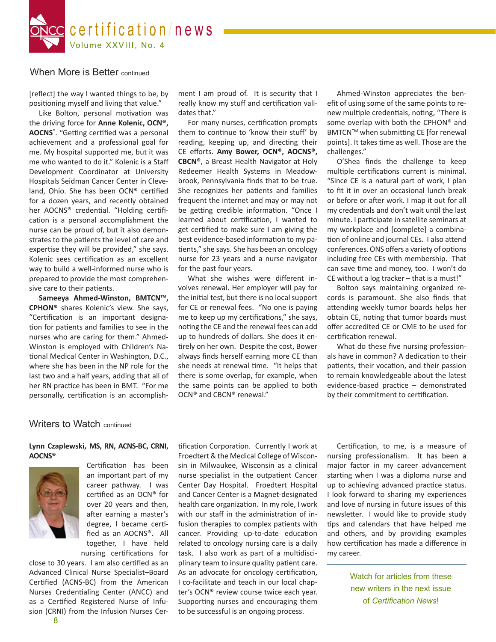

## When More is Better continued

[reflect] the way I wanted things to be, by positioning myself and living that value."

Like Bolton, personal motivation was the driving force for **Anne Kolenic, OCN®, AOCNS**® . "Getting certified was a personal achievement and a professional goal for me. My hospital supported me, but it was me who wanted to do it." Kolenic is a Staff Development Coordinator at University Hospitals Seidman Cancer Center in Cleveland, Ohio. She has been OCN® certified for a dozen years, and recently obtained her AOCNS® credential. "Holding certification is a personal accomplishment the nurse can be proud of, but it also demonstrates to the patients the level of care and expertise they will be provided," she says. Kolenic sees certification as an excellent way to build a well-informed nurse who is prepared to provide the most comprehensive care to their patients.

**Sameeya Ahmed-Winston, BMTCN™, CPHON®** shares Kolenic's view. She says, "Certification is an important designation for patients and families to see in the nurses who are caring for them." Ahmed-Winston is employed with Children's National Medical Center in Washington, D.C., where she has been in the NP role for the last two and a half years, adding that all of her RN practice has been in BMT. "For me personally, certification is an accomplish-

ment I am proud of. It is security that I really know my stuff and certification validates that."

For many nurses, certification prompts them to continue to 'know their stuff' by reading, keeping up, and directing their CE efforts. **Amy Bower, OCN®, AOCNS®, CBCN®**, a Breast Health Navigator at Holy Redeemer Health Systems in Meadowbrook, Pennsylvania finds that to be true. She recognizes her patients and families frequent the internet and may or may not be getting credible information. "Once I learned about certification, I wanted to get certified to make sure I am giving the best evidence-based information to my patients," she says. She has been an oncology nurse for 23 years and a nurse navigator for the past four years.

What she wishes were different involves renewal. Her employer will pay for the initial test, but there is no local support for CE or renewal fees. "No one is paying me to keep up my certifications," she says, noting the CE and the renewal fees can add up to hundreds of dollars. She does it entirely on her own. Despite the cost, Bower always finds herself earning more CE than she needs at renewal time. "It helps that there is some overlap, for example, when the same points can be applied to both OCN® and CBCN® renewal."

Ahmed-Winston appreciates the benefit of using some of the same points to renew multiple credentials, noting, "There is some overlap with both the CPHON® and BMTCN™ when submitting CE [for renewal points]. It takes time as well. Those are the challenges."

O'Shea finds the challenge to keep multiple certifications current is minimal. "Since CE is a natural part of work, I plan to fit it in over an occasional lunch break or before or after work. I map it out for all my credentials and don't wait until the last minute. I participate in satellite seminars at my workplace and [complete] a combination of online and journal CEs. I also attend conferences. ONS offers a variety of options including free CEs with membership. That can save time and money, too. I won't do CE without a log tracker – that is a must!"

Bolton says maintaining organized records is paramount. She also finds that attending weekly tumor boards helps her obtain CE, noting that tumor boards must offer accredited CE or CME to be used for certification renewal.

What do these five nursing professionals have in common? A dedication to their patients, their vocation, and their passion to remain knowledgeable about the latest evidence-based practice – demonstrated by their commitment to certification.

## Writers to Watch continued

## **Lynn Czaplewski, MS, RN, ACNS-BC, CRNI, AOCNS®**



Certification has been an important part of my career pathway. I was certified as an OCN® for over 20 years and then, after earning a master's degree, I became certified as an AOCNS®. All together, I have held nursing certifications for

close to 30 years. I am also certified as an Advanced Clinical Nurse Specialist–Board Certified (ACNS-BC) from the American Nurses Credentialing Center (ANCC) and as a Certified Registered Nurse of Infusion (CRNI) from the Infusion Nurses Certification Corporation. Currently I work at Froedtert & the Medical College of Wisconsin in Milwaukee, Wisconsin as a clinical nurse specialist in the outpatient Cancer Center Day Hospital. Froedtert Hospital and Cancer Center is a Magnet-designated health care organization. In my role, I work with our staff in the administration of infusion therapies to complex patients with cancer. Providing up-to-date education related to oncology nursing care is a daily task. I also work as part of a multidisciplinary team to insure quality patient care. As an advocate for oncology certification, I co-facilitate and teach in our local chapter's OCN® review course twice each year. Supporting nurses and encouraging them to be successful is an ongoing process.

Certification, to me, is a measure of nursing professionalism. It has been a major factor in my career advancement starting when I was a diploma nurse and up to achieving advanced practice status. I look forward to sharing my experiences and love of nursing in future issues of this newsletter. I would like to provide study tips and calendars that have helped me and others, and by providing examples how certification has made a difference in my career.

> Watch for articles from these new writers in the next issue of *Certification News*!